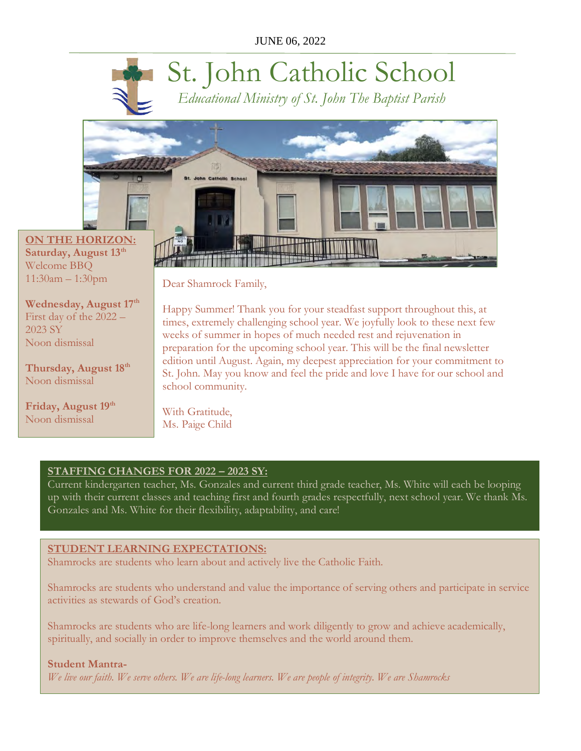# St. John Catholic School

*Educational Ministry of St. John The Baptist Parish*



**Saturday, August 13th** Welcome BBQ 11:30am – 1:30pm

**Wednesday, August 17th** First day of the 2022 – 2023 SY Noon dismissal

**Thursday, August 18th** Noon dismissal

**Friday, August 19th** Noon dismissal

Dear Shamrock Family,

Happy Summer! Thank you for your steadfast support throughout this, at times, extremely challenging school year. We joyfully look to these next few weeks of summer in hopes of much needed rest and rejuvenation in preparation for the upcoming school year. This will be the final newsletter edition until August. Again, my deepest appreciation for your commitment to St. John. May you know and feel the pride and love I have for our school and school community.

With Gratitude, Ms. Paige Child

## **STAFFING CHANGES FOR 2022 – 2023 SY:**

Current kindergarten teacher, Ms. Gonzales and current third grade teacher, Ms. White will each be looping up with their current classes and teaching first and fourth grades respectfully, next school year. We thank Ms. Gonzales and Ms. White for their flexibility, adaptability, and care!

## **STUDENT LEARNING EXPECTATIONS:**

Shamrocks are students who learn about and actively live the Catholic Faith.

Shamrocks are students who understand and value the importance of serving others and participate in service activities as stewards of God's creation.

Shamrocks are students who are life-long learners and work diligently to grow and achieve academically, spiritually, and socially in order to improve themselves and the world around them.

## **Student Mantra-**

*We live our faith. We serve others. We are life-long learners. We are people of integrity. We are Shamrocks*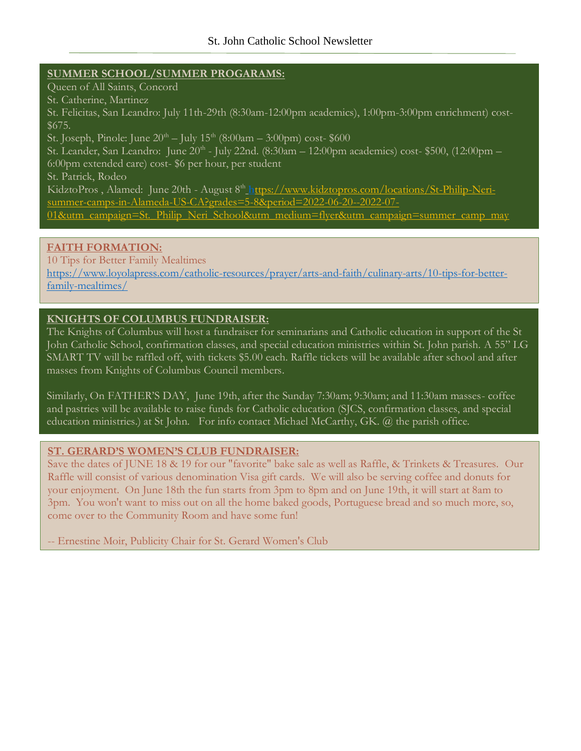#### **SUMMER SCHOOL/SUMMER PROGARAMS:**

Queen of All Saints, Concord St. Catherine, Martinez St. Felicitas, San Leandro: July 11th-29th (8:30am-12:00pm academics), 1:00pm-3:00pm enrichment) cost- \$675. St. Joseph, Pinole: June  $20^{th}$  – July  $15^{th}$  (8:00am – 3:00pm) cost- \$600 St. Leander, San Leandro: June 20<sup>th</sup> - July 22nd. (8:30am – 12:00pm academics) cost- \$500, (12:00pm – 6:00pm extended care) cost- \$6 per hour, per student St. Patrick, Rodeo KidztoPros, Alamed: June 20th - August 8<sup>th</sup> h[ttps://www.kidztopros.com/locations/St-Philip-Neri](https://www.kidztopros.com/locations/St-Philip-Neri-summer-camps-in-Alameda-US-CA?grades=5-8&period=2022-06-20--2022-07-01&utm_campaign=St._Philip_Neri_School&utm_medium=flyer&utm_campaign=summer_camp_may)[summer-camps-in-Alameda-US-CA?grades=5-8&period=2022-06-20--2022-07-](https://www.kidztopros.com/locations/St-Philip-Neri-summer-camps-in-Alameda-US-CA?grades=5-8&period=2022-06-20--2022-07-01&utm_campaign=St._Philip_Neri_School&utm_medium=flyer&utm_campaign=summer_camp_may) [01&utm\\_campaign=St.\\_Philip\\_Neri\\_School&utm\\_medium=flyer&utm\\_campaign=summer\\_camp\\_may](https://www.kidztopros.com/locations/St-Philip-Neri-summer-camps-in-Alameda-US-CA?grades=5-8&period=2022-06-20--2022-07-01&utm_campaign=St._Philip_Neri_School&utm_medium=flyer&utm_campaign=summer_camp_may)

## **FAITH FORMATION:**

10 Tips for Better Family Mealtimes [https://www.loyolapress.com/catholic-resources/prayer/arts-and-faith/culinary-arts/10-tips-for-better](https://www.loyolapress.com/catholic-resources/prayer/arts-and-faith/culinary-arts/10-tips-for-better-family-mealtimes/)[family-mealtimes/](https://www.loyolapress.com/catholic-resources/prayer/arts-and-faith/culinary-arts/10-tips-for-better-family-mealtimes/)

### **KNIGHTS OF COLUMBUS FUNDRAISER:**

The Knights of Columbus will host a fundraiser for seminarians and Catholic education in support of the St John Catholic School, confirmation classes, and special education ministries within St. John parish. A 55" LG SMART TV will be raffled off, with tickets \$5.00 each. Raffle tickets will be available after school and after masses from Knights of Columbus Council members.

Similarly, On FATHER'S DAY, June 19th, after the Sunday 7:30am; 9:30am; and 11:30am masses- coffee and pastries will be available to raise funds for Catholic education (SJCS, confirmation classes, and special education ministries.) at St John. For info contact Michael McCarthy, GK. @ the parish office.

## **ST. GERARD'S WOMEN'S CLUB FUNDRAISER:**

 Raffle will consist of various denomination Visa gift cards. We will also be serving coffee and donuts for your enjoyment. On June 18th the fun starts from 3pm to 8pm and on June 19th, it will start at 8am to Save the dates of JUNE 18 & 19 for our "favorite" bake sale as well as Raffle, & Trinkets & Treasures. Our 3pm. You won't want to miss out on all the home baked goods, Portuguese bread and so much more, so, come over to the Community Room and have some fun!

-- Ernestine Moir, Publicity Chair for St. Gerard Women's Club